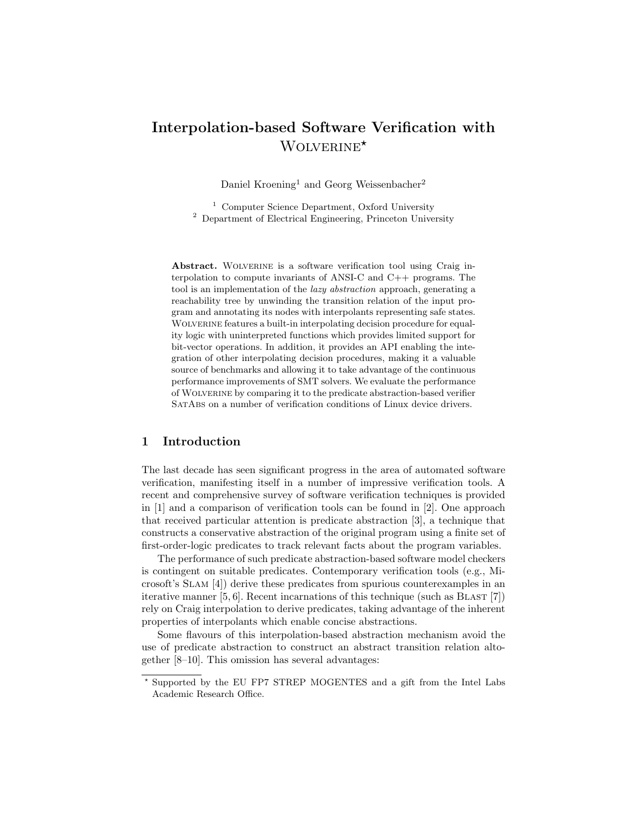# Interpolation-based Software Verification with WOLVERINE<sup>\*</sup>

Daniel Kroening<sup>1</sup> and Georg Weissenbacher<sup>2</sup>

<sup>1</sup> Computer Science Department, Oxford University <sup>2</sup> Department of Electrical Engineering, Princeton University

Abstract. WOLVERINE is a software verification tool using Craig interpolation to compute invariants of ANSI-C and C++ programs. The tool is an implementation of the lazy abstraction approach, generating a reachability tree by unwinding the transition relation of the input program and annotating its nodes with interpolants representing safe states. WOLVERINE features a built-in interpolating decision procedure for equality logic with uninterpreted functions which provides limited support for bit-vector operations. In addition, it provides an API enabling the integration of other interpolating decision procedures, making it a valuable source of benchmarks and allowing it to take advantage of the continuous performance improvements of SMT solvers. We evaluate the performance of Wolverine by comparing it to the predicate abstraction-based verifier SatAbs on a number of verification conditions of Linux device drivers.

### 1 Introduction

The last decade has seen significant progress in the area of automated software verification, manifesting itself in a number of impressive verification tools. A recent and comprehensive survey of software verification techniques is provided in [1] and a comparison of verification tools can be found in [2]. One approach that received particular attention is predicate abstraction [3], a technique that constructs a conservative abstraction of the original program using a finite set of first-order-logic predicates to track relevant facts about the program variables.

The performance of such predicate abstraction-based software model checkers is contingent on suitable predicates. Contemporary verification tools (e.g., Microsoft's Slam [4]) derive these predicates from spurious counterexamples in an iterative manner  $[5, 6]$ . Recent incarnations of this technique (such as BLAST  $[7]$ ) rely on Craig interpolation to derive predicates, taking advantage of the inherent properties of interpolants which enable concise abstractions.

Some flavours of this interpolation-based abstraction mechanism avoid the use of predicate abstraction to construct an abstract transition relation altogether [8–10]. This omission has several advantages:

<sup>?</sup> Supported by the EU FP7 STREP MOGENTES and a gift from the Intel Labs Academic Research Office.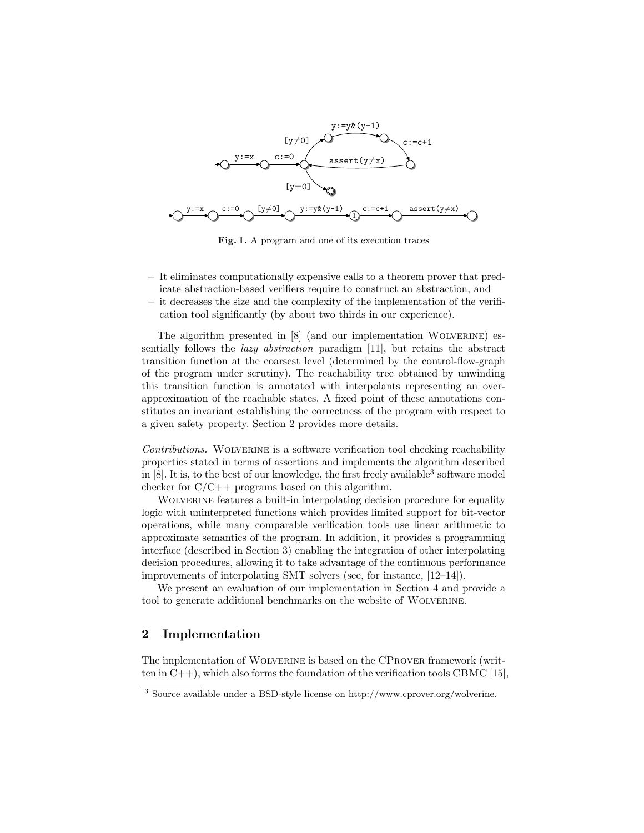

Fig. 1. A program and one of its execution traces

- It eliminates computationally expensive calls to a theorem prover that predicate abstraction-based verifiers require to construct an abstraction, and
- it decreases the size and the complexity of the implementation of the verification tool significantly (by about two thirds in our experience).

The algorithm presented in [8] (and our implementation Wolverine) essentially follows the lazy abstraction paradigm [11], but retains the abstract transition function at the coarsest level (determined by the control-flow-graph of the program under scrutiny). The reachability tree obtained by unwinding this transition function is annotated with interpolants representing an overapproximation of the reachable states. A fixed point of these annotations constitutes an invariant establishing the correctness of the program with respect to a given safety property. Section 2 provides more details.

Contributions. WOLVERINE is a software verification tool checking reachability properties stated in terms of assertions and implements the algorithm described in [8]. It is, to the best of our knowledge, the first freely available<sup>3</sup> software model checker for  $C/C++$  programs based on this algorithm.

WOLVERINE features a built-in interpolating decision procedure for equality logic with uninterpreted functions which provides limited support for bit-vector operations, while many comparable verification tools use linear arithmetic to approximate semantics of the program. In addition, it provides a programming interface (described in Section 3) enabling the integration of other interpolating decision procedures, allowing it to take advantage of the continuous performance improvements of interpolating SMT solvers (see, for instance, [12–14]).

We present an evaluation of our implementation in Section 4 and provide a tool to generate additional benchmarks on the website of WOLVERINE.

## 2 Implementation

The implementation of Wolverine is based on the CProver framework (written in  $C_{++}$ , which also forms the foundation of the verification tools CBMC [15],

<sup>3</sup> Source available under a BSD-style license on http://www.cprover.org/wolverine.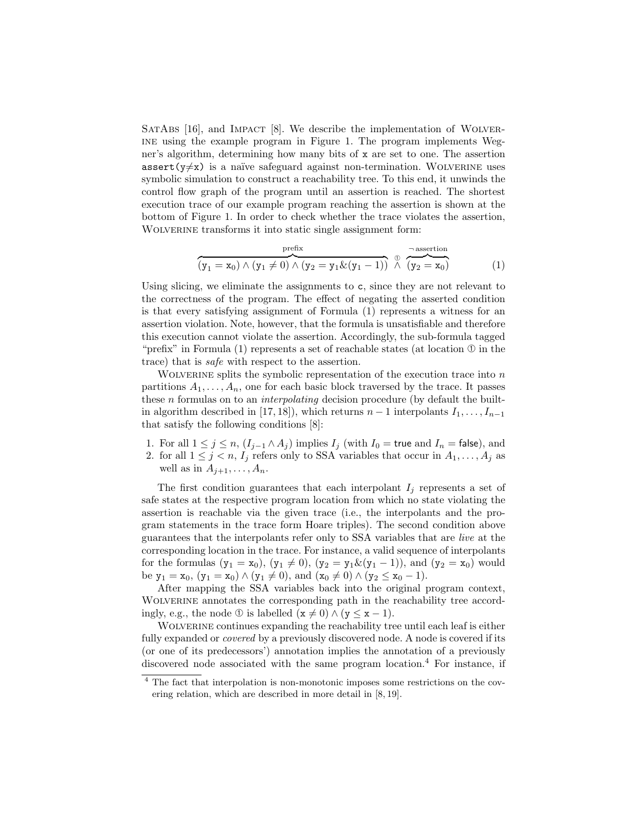SATABS  $[16]$ , and IMPACT  $[8]$ . We describe the implementation of WOLVERine using the example program in Figure 1. The program implements Wegner's algorithm, determining how many bits of x are set to one. The assertion assert( $y \neq x$ ) is a naïve safeguard against non-termination. WOLVERINE uses symbolic simulation to construct a reachability tree. To this end, it unwinds the control flow graph of the program until an assertion is reached. The shortest execution trace of our example program reaching the assertion is shown at the bottom of Figure 1. In order to check whether the trace violates the assertion, WOLVERINE transforms it into static single assignment form:

$$
\overbrace{(y_1=x_0)\wedge (y_1\neq 0)\wedge (y_2=y_1\&(y_1-1))}^{\text{prefix}} \overbrace{\wedge}^{\text{assertion}} \overbrace{(y_2=x_0)}^{\text{assertion}} \qquad \qquad (1)
$$

Using slicing, we eliminate the assignments to c, since they are not relevant to the correctness of the program. The effect of negating the asserted condition is that every satisfying assignment of Formula (1) represents a witness for an assertion violation. Note, however, that the formula is unsatisfiable and therefore this execution cannot violate the assertion. Accordingly, the sub-formula tagged "prefix" in Formula  $(1)$  represents a set of reachable states (at location  $\Phi$  in the trace) that is safe with respect to the assertion.

WOLVERINE splits the symbolic representation of the execution trace into  $n$ partitions  $A_1, \ldots, A_n$ , one for each basic block traversed by the trace. It passes these *n* formulas on to an *interpolating* decision procedure (by default the builtin algorithm described in [17, 18]), which returns  $n-1$  interpolants  $I_1, \ldots, I_{n-1}$ that satisfy the following conditions [8]:

- 1. For all  $1 \le j \le n$ ,  $(I_{j-1} \wedge A_j)$  implies  $I_j$  (with  $I_0$  = true and  $I_n$  = false), and
- 2. for all  $1 \leq j \leq n$ ,  $I_j$  refers only to SSA variables that occur in  $A_1, \ldots, A_j$  as well as in  $A_{j+1}, \ldots, A_n$ .

The first condition guarantees that each interpolant  $I_i$  represents a set of safe states at the respective program location from which no state violating the assertion is reachable via the given trace (i.e., the interpolants and the program statements in the trace form Hoare triples). The second condition above guarantees that the interpolants refer only to SSA variables that are live at the corresponding location in the trace. For instance, a valid sequence of interpolants for the formulas  $(y_1 = x_0)$ ,  $(y_1 \neq 0)$ ,  $(y_2 = y_1 \& (y_1 - 1))$ , and  $(y_2 = x_0)$  would be  $y_1 = x_0$ ,  $(y_1 = x_0) \wedge (y_1 \neq 0)$ , and  $(x_0 \neq 0) \wedge (y_2 \leq x_0 - 1)$ .

After mapping the SSA variables back into the original program context, WOLVERINE annotates the corresponding path in the reachability tree accordingly, e.g., the node ① is labelled  $(x \neq 0) \wedge (y \leq x - 1)$ .

WOLVERINE continues expanding the reachability tree until each leaf is either fully expanded or *covered* by a previously discovered node. A node is covered if its (or one of its predecessors') annotation implies the annotation of a previously discovered node associated with the same program location.<sup>4</sup> For instance, if

<sup>4</sup> The fact that interpolation is non-monotonic imposes some restrictions on the covering relation, which are described in more detail in [8, 19].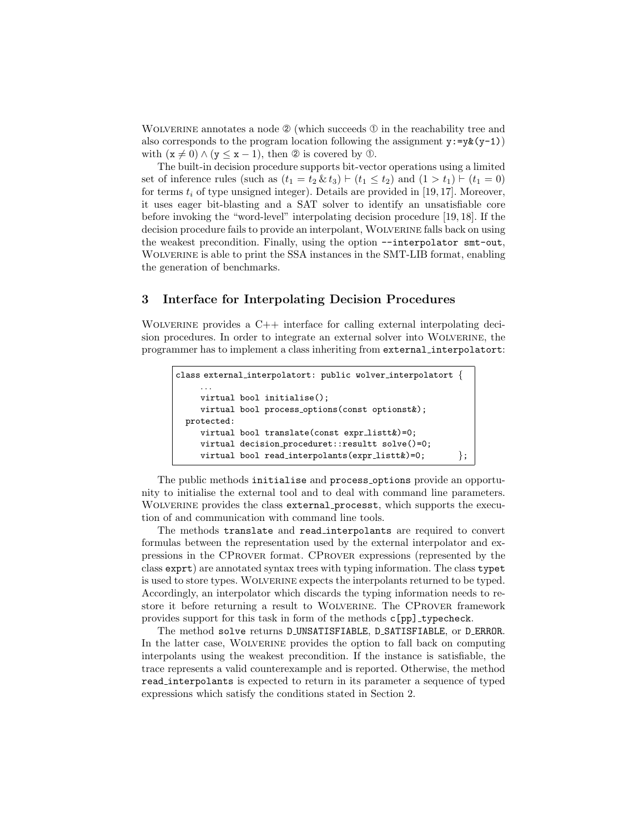WOLVERINE annotates a node  $\mathcal{D}$  (which succeeds  $\mathcal{D}$  in the reachability tree and also corresponds to the program location following the assignment  $y:=y\&(y-1)$ with  $(x \neq 0) \wedge (y \leq x - 1)$ , then  $\circledcirc$  is covered by  $\circledcirc$ .

The built-in decision procedure supports bit-vector operations using a limited set of inference rules (such as  $(t_1 = t_2 \& t_3) \vdash (t_1 \leq t_2)$  and  $(1 > t_1) \vdash (t_1 = 0)$ for terms  $t_i$  of type unsigned integer). Details are provided in [19, 17]. Moreover, it uses eager bit-blasting and a SAT solver to identify an unsatisfiable core before invoking the "word-level" interpolating decision procedure [19, 18]. If the decision procedure fails to provide an interpolant, Wolverine falls back on using the weakest precondition. Finally, using the option --interpolator smt-out, Wolverine is able to print the SSA instances in the SMT-LIB format, enabling the generation of benchmarks.

#### 3 Interface for Interpolating Decision Procedures

WOLVERINE provides a  $C++$  interface for calling external interpolating decision procedures. In order to integrate an external solver into Wolverine, the programmer has to implement a class inheriting from external interpolatort:

```
class external interpolatort: public wolver interpolatort {
    . . .
   virtual bool initialise();
   virtual bool process options(const optionst&);
protected:
   virtual bool translate(const expr_listt&)=0;
   virtual decision_proceduret::resultt solve()=0;
   virtual bool read_interpolants(expr_listt&)=0; \};
```
The public methods initialise and process options provide an opportunity to initialise the external tool and to deal with command line parameters. WOLVERINE provides the class external processt, which supports the execution of and communication with command line tools.

The methods translate and read interpolants are required to convert formulas between the representation used by the external interpolator and expressions in the CProver format. CProver expressions (represented by the class exprt) are annotated syntax trees with typing information. The class typet is used to store types. Wolverine expects the interpolants returned to be typed. Accordingly, an interpolator which discards the typing information needs to restore it before returning a result to WOLVERINE. The CPROVER framework provides support for this task in form of the methods c[pp] typecheck.

The method solve returns D\_UNSATISFIABLE, D\_SATISFIABLE, or D\_ERROR. In the latter case, Wolverine provides the option to fall back on computing interpolants using the weakest precondition. If the instance is satisfiable, the trace represents a valid counterexample and is reported. Otherwise, the method read interpolants is expected to return in its parameter a sequence of typed expressions which satisfy the conditions stated in Section 2.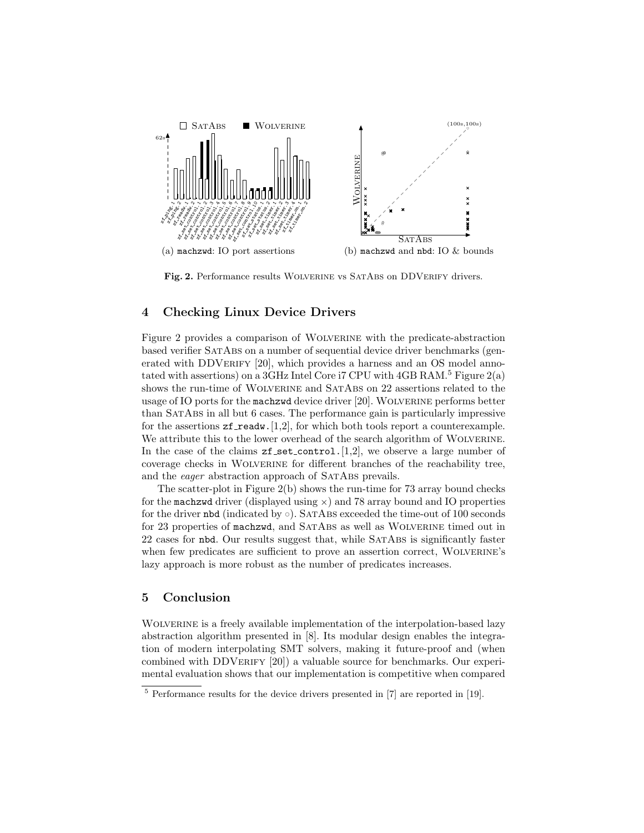

Fig. 2. Performance results WOLVERINE vs SATABS on DDVERIFY drivers.

## 4 Checking Linux Device Drivers

Figure 2 provides a comparison of Wolverine with the predicate-abstraction based verifier SatAbs on a number of sequential device driver benchmarks (generated with DDVERIFY [20], which provides a harness and an OS model annotated with assertions) on a 3GHz Intel Core i7 CPU with  $4GB RAM.<sup>5</sup>$  Figure 2(a) shows the run-time of WOLVERINE and SATABS on 22 assertions related to the usage of IO ports for the machzwd device driver [20]. WOLVERINE performs better than SatAbs in all but 6 cases. The performance gain is particularly impressive for the assertions  $zf\_readw.[1,2]$ , for which both tools report a counterexample. We attribute this to the lower overhead of the search algorithm of WOLVERINE. In the case of the claims  $zf_set-control.[1,2]$ , we observe a large number of coverage checks in Wolverine for different branches of the reachability tree, and the *eager* abstraction approach of SATABS prevails.

The scatter-plot in Figure  $2(b)$  shows the run-time for 73 array bound checks for the machzwd driver (displayed using  $\times$ ) and 78 array bound and IO properties for the driver nbd (indicated by  $\circ$ ). SATABS exceeded the time-out of 100 seconds for 23 properties of machzwd, and SATABS as well as WOLVERINE timed out in 22 cases for nbd. Our results suggest that, while SatAbs is significantly faster when few predicates are sufficient to prove an assertion correct, WOLVERINE's lazy approach is more robust as the number of predicates increases.

#### 5 Conclusion

WOLVERINE is a freely available implementation of the interpolation-based lazy abstraction algorithm presented in [8]. Its modular design enables the integration of modern interpolating SMT solvers, making it future-proof and (when combined with DDVERIFY [20]) a valuable source for benchmarks. Our experimental evaluation shows that our implementation is competitive when compared

<sup>5</sup> Performance results for the device drivers presented in [7] are reported in [19].